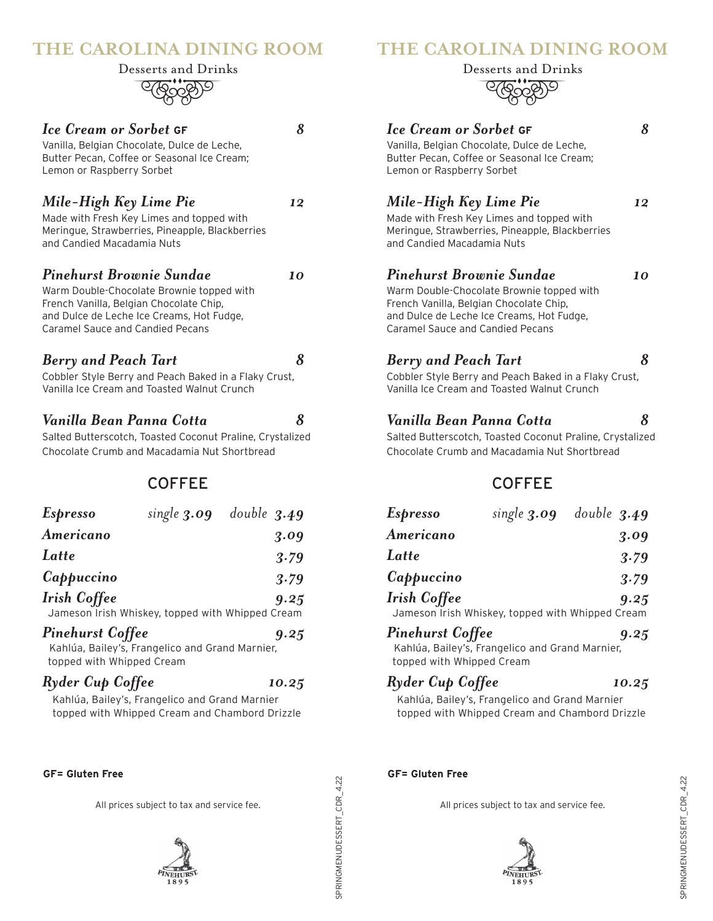## **THE CAROLINA DINING ROOM**

<u>eledado</u> Desserts and Drinks

# *Ice Cream or Sorbet* **GF** *8*

Vanilla, Belgian Chocolate, Dulce de Leche, Butter Pecan, Coffee or Seasonal Ice Cream; Lemon or Raspberry Sorbet

## *Mile-High Key Lime Pie 12*

Made with Fresh Key Limes and topped with Meringue, Strawberries, Pineapple, Blackberries and Candied Macadamia Nuts

#### *Pinehurst Brownie Sundae 10*

Warm Double-Chocolate Brownie topped with French Vanilla, Belgian Chocolate Chip, and Dulce de Leche Ice Creams, Hot Fudge, Caramel Sauce and Candied Pecans

## *Berry and Peach Tart 8*

Cobbler Style Berry and Peach Baked in a Flaky Crust, Vanilla Ice Cream and Toasted Walnut Crunch

## *Vanilla Bean Panna Cotta 8*

Salted Butterscotch, Toasted Coconut Praline, Crystalized Chocolate Crumb and Macadamia Nut Shortbread

COFFEE

| <b>Espresso</b>                                      |                                                  | single $3.09$ double $3.49$ |
|------------------------------------------------------|--------------------------------------------------|-----------------------------|
| Americano                                            |                                                  | 3.09                        |
| Latte                                                |                                                  | 3.79                        |
| Cappuccino                                           |                                                  | 3.79                        |
| <b>Irish Coffee</b>                                  | Jameson Irish Whiskey, topped with Whipped Cream | 9.25                        |
| <b>Pinehurst Coffee</b><br>topped with Whipped Cream | Kahlúa, Bailey's, Frangelico and Grand Marnier,  | 9.25                        |
|                                                      |                                                  |                             |

#### *Ryder Cup Coffee 10.25*

Kahlúa, Bailey's, Frangelico and Grand Marnier topped with Whipped Cream and Chambord Drizzle

**GF= Gluten Free**

All prices subject to tax and service fee.



# **THE CAROLINA DINING ROOM**

<u>eledado</u> Desserts and Drinks

## *Ice Cream or Sorbet* **GF** *8* Vanilla, Belgian Chocolate, Dulce de Leche, Butter Pecan, Coffee or Seasonal Ice Cream; Lemon or Raspberry Sorbet *Mile-High Key Lime Pie 12* Made with Fresh Key Limes and topped with Meringue, Strawberries, Pineapple, Blackberries and Candied Macadamia Nuts *Pinehurst Brownie Sundae 10* Warm Double-Chocolate Brownie topped with French Vanilla, Belgian Chocolate Chip,

and Dulce de Leche Ice Creams, Hot Fudge, Caramel Sauce and Candied Pecans

## *Berry and Peach Tart 8*

Cobbler Style Berry and Peach Baked in a Flaky Crust, Vanilla Ice Cream and Toasted Walnut Crunch

## *Vanilla Bean Panna Cotta 8*

Salted Butterscotch, Toasted Coconut Praline, Crystalized Chocolate Crumb and Macadamia Nut Shortbread

# COFFEE

| Espresso                  | single $3.09$ double $3.49$                      |      |
|---------------------------|--------------------------------------------------|------|
| Americano                 |                                                  | 3.09 |
| Latte                     |                                                  | 3.79 |
| Cappuccino                |                                                  | 3.79 |
| Irish Coffee              | Jameson Irish Whiskey, topped with Whipped Cream | 9.25 |
| Pinehurst Coffee          | Kahlúa, Bailey's, Frangelico and Grand Marnier,  | 9.25 |
| topped with Whipped Cream |                                                  |      |

# *Ryder Cup Coffee 10.25*

Kahlúa, Bailey's, Frangelico and Grand Marnier topped with Whipped Cream and Chambord Drizzle

**GF= Gluten Free**

SpringMenuDessert\_CDR\_4.22

SPRINGMENUDESSERT\_CDR\_4.22

All prices subject to tax and service fee.